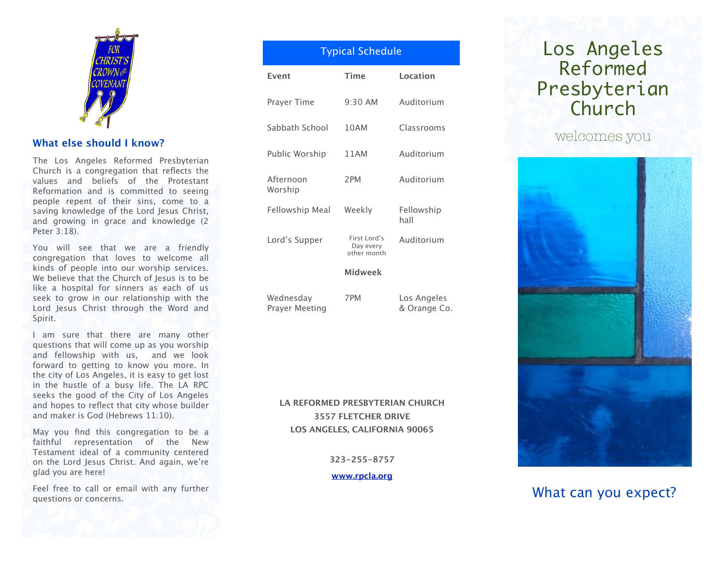

# **What else should I know?**

The Los Angeles Reformed Presbyterian Church is a congregation that reflects the values and beliefs of the Protestant Reformation and is committed to seeing people repent of their sins, come to a saving knowledge of the Lord Jesus Christ, and growing in grace and knowledge (2 Peter 3:18).

You will see that we are a friendly congregation that loves to welcome all kinds of people into our worship services. We believe that the Church of Jesus is to be like a hospital for sinners as each of us seek to grow in our relationship with the Lord Jesus Christ through the Word and Spirit.

I am sure that there are many other questions that will come up as you worship and fellowship with us, and we look forward to getting to know you more. In the city of Los Angeles, it is easy to get lost in the hustle of a busy life. The LA RPC seeks the good of the City of Los Angeles and hopes to reflect that city whose builder and maker is God (Hebrews 11:10).

May you find this congregation to be a faithful representation of the New Testament ideal of a community centered on the Lord Jesus Christ. And again, we're glad you are here!

Feel free to call or email with any further questions or concerns.

| <b>Typical Schedule</b> |                                          |                    |
|-------------------------|------------------------------------------|--------------------|
| Event                   | Time                                     | Location           |
| Prayer Time             | $9:30$ AM                                | Auditorium         |
| Sabbath School          | 10AM                                     | Classrooms         |
| Public Worship          | 11AM                                     | Auditorium         |
| Afternoon<br>Worship    | 2PM                                      | Auditorium         |
| Fellowship Meal         | Weekly                                   | Fellowship<br>hall |
| Lord's Supper           | First Lord's<br>Day every<br>other month | Auditorium         |
|                         | <b>Midweek</b>                           |                    |
| Wednesday               | 7PM                                      | Los Angeles        |

Prayer Meeting

& Orange Co.

**LA REFORMED PRESBYTERIAN CHURCH 3557 FLETCHER DRIVE LOS ANGELES, CALIFORNIA 90065**

**323-255-8757**

**[www.rpcla.org](http://www.rpcla.org)**

# Los Angeles Reformed Presbyterian Church

welcomes you



# What can you expect?